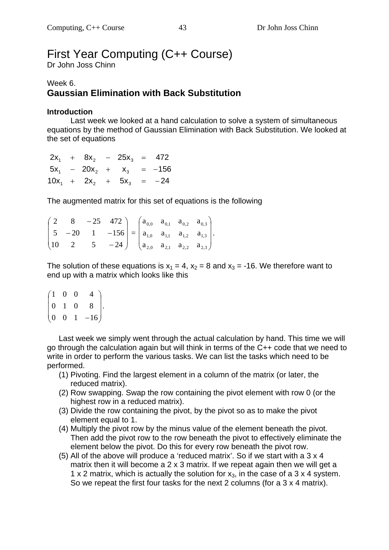# First Year Computing (C++ Course)

Dr John Joss Chinn

#### Week 6. **Gaussian Elimination with Back Substitution**

#### **Introduction**

 Last week we looked at a hand calculation to solve a system of simultaneous equations by the method of Gaussian Elimination with Back Substitution. We looked at the set of equations

 $10x_1 + 2x_2 + 5x_3 = -24$  $5x_1$  –  $20x_2$  +  $x_3$  = -156  $2x_1 + 8x_2 - 25x_3 = 472$ 

The augmented matrix for this set of equations is the following

 $\overline{\phantom{a}}$  $\overline{\phantom{a}}$  $\overline{\phantom{a}}$ J  $\setminus$  $\mathsf{I}$  $\mathbf{r}$  $\mathsf{I}$  $\setminus$ ſ  $\overline{a}$  $-20$  1  $-$ - $10 \t 2 \t 5 \t -24$  $5 -20$  1  $-156$ 2  $8 - 25$  472 =  $\overline{\phantom{a}}$  $\overline{\phantom{a}}$  $\overline{\phantom{a}}$  $\big)$  $\setminus$  $\mathsf{I}$ I  $\mathsf{I}$  $\setminus$ ſ 2,0  $a_{2,1}$   $a_{2,2}$   $a_{2,3}$ 1,0  $a_{1,1}$   $a_{1,2}$   $a_{1,3}$  $0,0$   $a_{0,1}$   $a_{0,2}$   $a_{0,3}$  $a_{2,0}$   $a_{2,1}$   $a_{2,2}$  a  $a_{10}$   $a_{11}$   $a_{12}$  a  $a_{00}$   $a_{01}$   $a_{02}$  a .

The solution of these equations is  $x_1 = 4$ ,  $x_2 = 8$  and  $x_3 = -16$ . We therefore want to end up with a matrix which looks like this

 $\overline{\phantom{a}}$  $\overline{\phantom{a}}$  $\overline{\phantom{a}}$ J  $\setminus$  $\mathsf{I}$  $\mathbf{r}$  $\mathbf{I}$  $\setminus$ ſ  $0 \t 0 \t 1 \t -16$ 0 1 0 8 1 0 0 4 .

Last week we simply went through the actual calculation by hand. This time we will go through the calculation again but will think in terms of the C++ code that we need to write in order to perform the various tasks. We can list the tasks which need to be performed.

- (1) Pivoting. Find the largest element in a column of the matrix (or later, the reduced matrix).
- (2) Row swapping. Swap the row containing the pivot element with row 0 (or the highest row in a reduced matrix).
- (3) Divide the row containing the pivot, by the pivot so as to make the pivot element equal to 1.
- (4) Multiply the pivot row by the minus value of the element beneath the pivot. Then add the pivot row to the row beneath the pivot to effectively eliminate the element below the pivot. Do this for every row beneath the pivot row.
- (5) All of the above will produce a 'reduced matrix'. So if we start with a 3 x 4 matrix then it will become a 2 x 3 matrix. If we repeat again then we will get a 1 x 2 matrix, which is actually the solution for  $x_3$ , in the case of a 3 x 4 system. So we repeat the first four tasks for the next 2 columns (for a 3 x 4 matrix).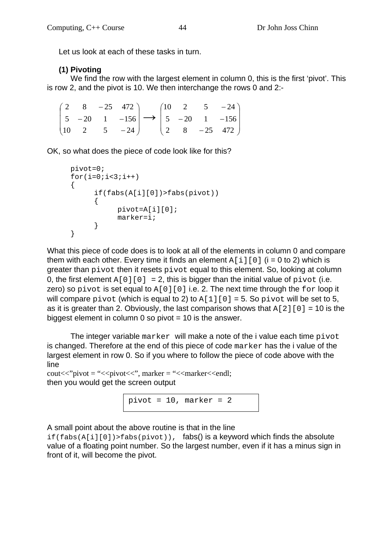Let us look at each of these tasks in turn.

#### **(1) Pivoting**

We find the row with the largest element in column 0, this is the first 'pivot'. This is row 2, and the pivot is 10. We then interchange the rows 0 and 2:-

|  |  |  |  | $\begin{pmatrix} 2 & 8 & -25 & 472 \end{pmatrix}$ $\begin{pmatrix} 10 & 2 & 5 & -24 \end{pmatrix}$                  |
|--|--|--|--|---------------------------------------------------------------------------------------------------------------------|
|  |  |  |  | $\begin{vmatrix} 5 & -20 & 1 & -156 \end{vmatrix}$ $\rightarrow$ $\begin{vmatrix} 5 & -20 & 1 & -156 \end{vmatrix}$ |
|  |  |  |  | $\begin{pmatrix} 10 & 2 & 5 & -24 \end{pmatrix}$ $\begin{pmatrix} 2 & 8 & -25 & 472 \end{pmatrix}$                  |

OK, so what does the piece of code look like for this?

```
pivot=0; 
     for(i=0;i<3;i++) { 
            if(fabs(A[i][0])>fabs(pivot)) 
            { 
                 pivot=A[i][0]; 
           marker=i;<br>}
 } 
      }
```
What this piece of code does is to look at all of the elements in column 0 and compare them with each other. Every time it finds an element  $A[i][0]$  (i = 0 to 2) which is greater than pivot then it resets pivot equal to this element. So, looking at column 0, the first element  $A[0][0] = 2$ , this is bigger than the initial value of pivot (i.e. zero) so pivot is set equal to  $A[0][0]$  i.e. 2. The next time through the for loop it will compare pivot (which is equal to 2) to  $A[1][0] = 5$ . So pivot will be set to 5, as it is greater than 2. Obviously, the last comparison shows that  $A[2][0] = 10$  is the biggest element in column  $0$  so pivot  $= 10$  is the answer.

The integer variable marker will make a note of the i value each time pivot is changed. Therefore at the end of this piece of code marker has the i value of the largest element in row 0. So if you where to follow the piece of code above with the line

 $\text{cout} \ll \text{cipivot} = \text{``< pi} \times \text{cipivot} \ll \text{``< marker} \ll \text{cend};$ then you would get the screen output



A small point about the above routine is that in the line

 $if(fabs(A[i][0]) > fabs(pivot))$ , fabs() is a keyword which finds the absolute value of a floating point number. So the largest number, even if it has a minus sign in front of it, will become the pivot.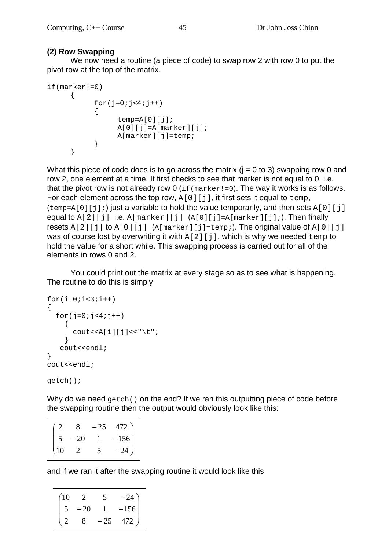#### **(2) Row Swapping**

We now need a routine (a piece of code) to swap row 2 with row 0 to put the pivot row at the top of the matrix.

```
if(marker!=0) 
      { 
          for(j=0; j<4; j++)\{temp=A[0][j]; A[0][j]=A[marker][j]; 
                A[marker][j]=temp; 
 } 
      }
```
What this piece of code does is to go across the matrix  $(i = 0$  to 3) swapping row 0 and row 2, one element at a time. It first checks to see that marker is not equal to 0, i.e. that the pivot row is not already row  $0$  (if (marker!=0). The way it works is as follows. For each element across the top row,  $A[0][j]$ , it first sets it equal to  $temp$ ,  $(temp=A[0][j];)$  just a variable to hold the value temporarily, and then sets A[0][j] equal to  $A[2][j]$ , i.e.  $A[marker][j]$   $(A[0][j]=A[marker][j];)$ . Then finally resets  $A[2][j]$  to  $A[0][j]$  ( $A[marker][j]=temp$ ;). The original value of  $A[0][j]$ was of course lost by overwriting it with  $A[2][j]$ , which is why we needed temp to hold the value for a short while. This swapping process is carried out for all of the elements in rows 0 and 2.

 You could print out the matrix at every stage so as to see what is happening. The routine to do this is simply

```
for(i=0;i<3;i++){ 
   for(j=0;j<4;j++) { 
         \text{cout} \leq \text{A[i][j]} \leq \text{``t''} } 
     cout<<endl; 
} 
cout<<endl;
```
getch();

 $\mathsf{I}$ 

Why do we need  $qetch()$  on the end? If we ran this outputting piece of code before the swapping routine then the output would obviously look like this:

|    |       | $-25$ | 472)   |
|----|-------|-------|--------|
| 5  | $-20$ |       | $-156$ |
| 10 | 2     | 5     | $-24$  |

and if we ran it after the swapping routine it would look like this

| (10 |    |    | $-24$  |
|-----|----|----|--------|
|     | 20 |    | $-156$ |
|     |    | 25 | 472    |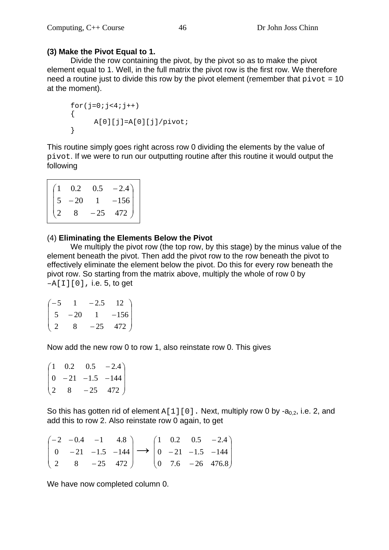#### **(3) Make the Pivot Equal to 1.**

Divide the row containing the pivot, by the pivot so as to make the pivot element equal to 1. Well, in the full matrix the pivot row is the first row. We therefore need a routine just to divide this row by the pivot element (remember that  $pivot = 10$ at the moment).

```
for(j=0; j<4; j++))
\left\{ \right. A[0][j]=A[0][j]/pivot; 
 }
```
This routine simply goes right across row 0 dividing the elements by the value of pivot. If we were to run our outputting routine after this routine it would output the following

|               |                                         | $\begin{bmatrix} 0.2 & 0.5 & -2.4 \\ -20 & 1 & -156 \\ 8 & -25 & 472 \end{bmatrix}$ |
|---------------|-----------------------------------------|-------------------------------------------------------------------------------------|
|               | $\begin{vmatrix} 5 & -20 \end{vmatrix}$ |                                                                                     |
| $\frac{2}{2}$ | $8 \qquad$                              |                                                                                     |

#### (4) **Eliminating the Elements Below the Pivot**

We multiply the pivot row (the top row, by this stage) by the minus value of the element beneath the pivot. Then add the pivot row to the row beneath the pivot to effectively eliminate the element below the pivot. Do this for every row beneath the pivot row. So starting from the matrix above, multiply the whole of row 0 by  $-A[I][0]$ , i.e. 5, to get

| $-5$        |       | $-2.5$    | $12$ ) |
|-------------|-------|-----------|--------|
| $5^{\circ}$ | $-20$ | $1 \quad$ | $-156$ |
| -2          |       | $-25$     | 472    |

Now add the new row 0 to row 1, also reinstate row 0. This gives

 $\overline{\phantom{a}}$  $\overline{\phantom{a}}$  $\overline{\phantom{a}}$ J  $\setminus$  $\mathsf{I}$  $\mathbf{r}$  $\mathsf{I}$  $\setminus$ ſ  $\overline{a}$  $-21 -1.5 \overline{a}$ 2 8  $-25$  472  $0 -21 -1.5 -144$  $1 \t0.2 \t0.5 \t-2.4$ 

So this has gotten rid of element  $A[1][0]$ . Next, multiply row 0 by -a<sub>0.2</sub>, i.e. 2, and add this to row 2. Also reinstate row 0 again, to get

|  |                                                   |  |  | $\begin{pmatrix} -2 & -0.4 & -1 & 4.8 \end{pmatrix}$ $\begin{pmatrix} 1 & 0.2 & 0.5 & -2.4 \end{pmatrix}$             |
|--|---------------------------------------------------|--|--|-----------------------------------------------------------------------------------------------------------------------|
|  |                                                   |  |  | $\begin{vmatrix} 0 & -21 & -1.5 & -144 \end{vmatrix} \rightarrow \begin{vmatrix} 0 & -21 & -1.5 & -144 \end{vmatrix}$ |
|  | $\begin{pmatrix} 2 & 8 & -25 & 472 \end{pmatrix}$ |  |  | $\begin{pmatrix} 0 & 7.6 & -26 & 476.8 \end{pmatrix}$                                                                 |

We have now completed column 0.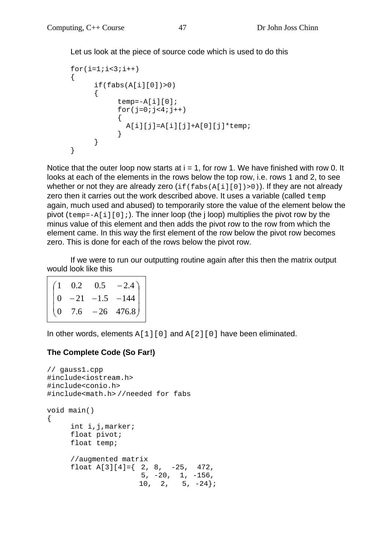Let us look at the piece of source code which is used to do this

```
for(i=1;i<3;i++) { 
       if(fabs(A[i][0])>0)\{temp=-A[i][0];for(j=0; j<4; j++){
            A[i][j]=A[i][j]+A[0][j]*temp; } 
 } 
    }
```
Notice that the outer loop now starts at  $i = 1$ , for row 1. We have finished with row 0. It looks at each of the elements in the rows below the top row, i.e. rows 1 and 2, to see whether or not they are already zero  $(i f(fabs(A[i][0])>0))$ . If they are not already zero then it carries out the work described above. It uses a variable (called temp again, much used and abused) to temporarily store the value of the element below the pivot  $(\text{temp}=-A[i][0];)$ . The inner loop (the j loop) multiplies the pivot row by the minus value of this element and then adds the pivot row to the row from which the element came. In this way the first element of the row below the pivot row becomes zero. This is done for each of the rows below the pivot row.

 If we were to run our outputting routine again after this then the matrix output would look like this

|  | $\begin{bmatrix} 1 & 0.2 & 0.5 & -2.4 \\ 0 & -21 & -1.5 & -144 \\ 0 & 7.6 & -26 & 476.8 \end{bmatrix}$ |
|--|--------------------------------------------------------------------------------------------------------|
|  |                                                                                                        |
|  |                                                                                                        |

In other words, elements  $A[1][0]$  and  $A[2][0]$  have been eliminated.

#### **The Complete Code (So Far!)**

```
// gauss1.cpp 
#include<iostream.h> 
#include<conio.h> 
#include<math.h> //needed for fabs 
void main() 
{ 
       int i,j,marker; 
      float pivot; 
      float temp; 
       //augmented matrix 
     float A[3][4]=\{ 2, 8, -25, 472, 5, -20, 1, -156, 
                       10, 2, 5, -24;
```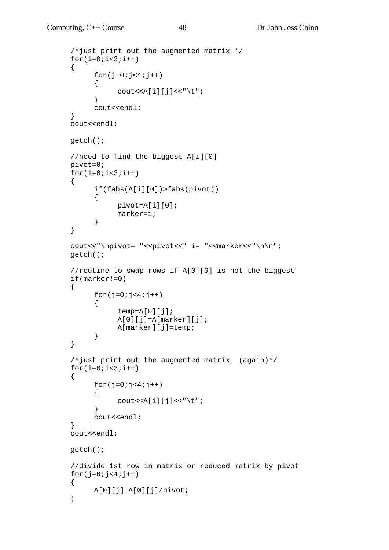```
 /*just print out the augmented matrix */ 
     for(i=0;i<3;i++) { 
           for(j=0; j<4; j++)\{\text{cout} \leq \text{A[i][j]} \leq \text{"\`t"; } 
            cout<<endl; 
      } 
     cout<<endl;
      getch(); 
      //need to find the biggest A[i][0] 
      pivot=0; 
     for(i=0; i<3; i++) { 
            if(fabs(A[i][0])>fabs(pivot)) 
 { 
                  pivot=A[i][0]; 
                  marker=i; 
 } 
      } 
     cout<<"\npivot= "<<pivot<<" i= "<<marker<<"\n\n";
      getch(); 
      //routine to swap rows if A[0][0] is not the biggest 
      if(marker!=0) 
     \{for(j=0; j<4; j++) { 
                 temp=A[0][j];A[0][j]=A[\text{marker}][j]; A[marker][j]=temp; 
 } 
      } 
      /*just print out the augmented matrix (again)*/ 
     for(i=0;i<3;i++) { 
           for(j=0; j<4; j++) { 
                 \text{cout} \leq \text{A[i][j]} \leq \text{''t} } 
           cout<<endl;
      } 
     cout<<endl;
      getch(); 
      //divide 1st row in matrix or reduced matrix by pivot 
     for(j=0; j<4; j++) { 
            A[0][j]=A[0][j]/pivot; 
      }
```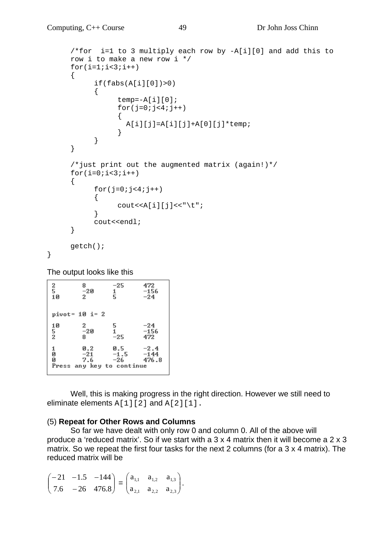```
 /*for i=1 to 3 multiply each row by -A[i][0] and add this to 
    row i to make a new row i */ 
    for(i=1;i=3;i++) { 
          if(fabs(A[i][0])>0) { 
               temp=-A[i][0];for(j=0; j<4; j++){
               A[i][j]=A[i][j]+A[0][j]*temp;<br>}
 } 
 } 
      } 
      /*just print out the augmented matrix (again!)*/ 
    for(i=0;i<3;i++) { 
         for(j=0;j<4;j++)
 { 
               \text{coust}<<A[i][i]<<"\setminus t"; } 
           cout<<endl; 
      } 
     getch();
```
The output looks like this

}

| $\frac{2}{5}$<br>10 | 8<br>$-20$<br>2              | $-25$<br>$\frac{1}{5}$                            | 472<br>$-156$<br>$-24$    |
|---------------------|------------------------------|---------------------------------------------------|---------------------------|
|                     | pivot= 10 i= 2               |                                                   |                           |
| 10<br>5<br>2        | $\mathbf{2}^-$<br>$-20$<br>8 | $\frac{5}{1}$<br>$-25$                            | $-24$<br>$-156$<br>472    |
| 1<br>0<br>0         | 0.2<br>$-21$<br>7.6          | 0.5<br>$-1.5$<br>-26<br>Press any key to continue | $-2.4$<br>$-144$<br>476.8 |

 Well, this is making progress in the right direction. However we still need to eliminate elements  $A[1][2]$  and  $A[2][1]$ .

#### (5) **Repeat for Other Rows and Columns**

So far we have dealt with only row 0 and column 0. All of the above will produce a 'reduced matrix'. So if we start with a 3 x 4 matrix then it will become a 2 x 3 matrix. So we repeat the first four tasks for the next 2 columns (for a 3 x 4 matrix). The reduced matrix will be

$$
\begin{pmatrix} -21 & -1.5 & -144 \ 7.6 & -26 & 476.8 \end{pmatrix} = \begin{pmatrix} a_{1,1} & a_{1,2} & a_{1,3} \ a_{2,1} & a_{2,2} & a_{2,3} \end{pmatrix}.
$$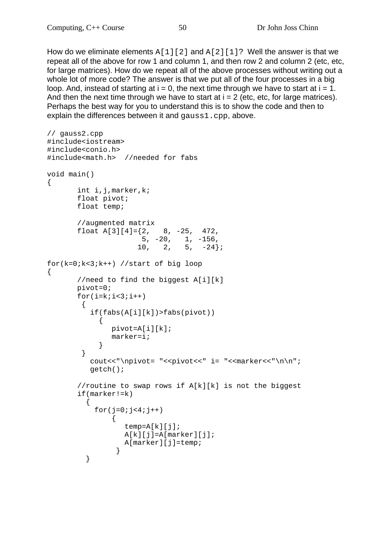How do we eliminate elements  $A[1][2]$  and  $A[2][1]$ ? Well the answer is that we repeat all of the above for row 1 and column 1, and then row 2 and column 2 (etc, etc, for large matrices). How do we repeat all of the above processes without writing out a whole lot of more code? The answer is that we put all of the four processes in a big loop. And, instead of starting at  $i = 0$ , the next time through we have to start at  $i = 1$ . And then the next time through we have to start at  $i = 2$  (etc, etc, for large matrices). Perhaps the best way for you to understand this is to show the code and then to explain the differences between it and gauss1.cpp, above.

```
// gauss2.cpp 
#include<iostream> 
#include<conio.h> 
#include<math.h> //needed for fabs 
void main() 
\{ int i,j,marker,k; 
       float pivot; 
       float temp; 
       //augmented matrix 
      float A[3][4]=\{2, 8, -25, 472, 5, -20, 1, -156, 
                    10, 2, 5, -24;
for(k=0;k<3;k++) //start of big loop 
\{ //need to find the biggest A[i][k] 
       pivot=0; 
      for(i=k;i=3;i++)\{ if(fabs(A[i][k])>fabs(pivot)) 
\{ pivot=A[i][k]; 
               marker=i; 
 } 
         } 
         cout<<"\npivot= "<<pivot<<" i= "<<marker<<"\n\n";
          getch(); 
        //routine to swap rows if A[k][k] is not the biggest 
        if(marker!=k) 
         { 
          for(j=0; j<4; j++){
                  temp=A[k][j]; 
                 A[k][j]=A[\text{marker}][j]; A[marker][j]=temp; 
 } 
 }
```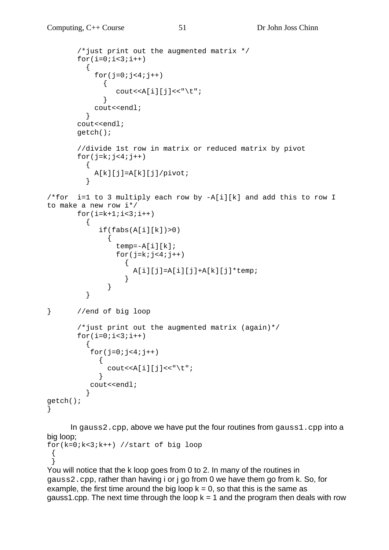```
 /*just print out the augmented matrix */ 
      for(i=0; i<3; i++)\{for(j=0; j<4; j++) { 
             cout << A[i][j] << "\t";
 } 
          cout<<endl; 
 } 
       cout<<endl; 
       getch(); 
       //divide 1st row in matrix or reduced matrix by pivot 
      for(j=k;j<4;j++) { 
         A[k][j]=A[k][j]/pivot; } 
/*for i=1 to 3 multiply each row by -A[i][k] and add this to row I 
to make a new row i*/ 
      for(i=k+1;i<3;i++)\{if(fabs(A[i][k])>0)\{temp=-A[i][k];for(j=k;j<4;j++)
\{A[i][j]=A[i][j]+A[k][j]*temp; } 
 } 
 } 
} //end of big loop 
       /*just print out the augmented matrix (again)*/ 
      for(i=0;i<3;i++)
\{for(j=0; j<4; j++)\{\text{cout} \leq \text{A[i][j]} \leq \text{"t";} } 
         cout<<endl; 
 } 
getch(); 
}
```
In gauss2.cpp, above we have put the four routines from gauss1.cpp into a big loop;

```
for(k=0;k<3;k++) //start of big loop 
  { 
 }
```

```
You will notice that the k loop goes from 0 to 2. In many of the routines in 
gauss2.cpp, rather than having i or j go from 0 we have them go from k. So, for 
example, the first time around the big loop k = 0, so that this is the same as
gauss1.cpp. The next time through the loop k = 1 and the program then deals with row
```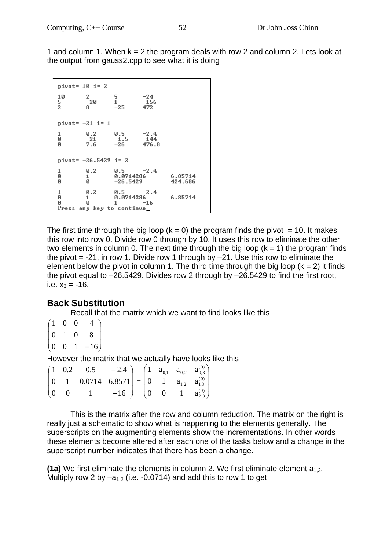1 and column 1. When  $k = 2$  the program deals with row 2 and column 2. Lets look at the output from gauss2.cpp to see what it is doing

```
pivot= 10 i= 2
         \,210
                  5
                            -24-20\frac{5}{2}\frac{1}{-25}-1568Ĺ
                            472pivot=-21 i= 1
         0.20.5-2.4ø
         -21-1.5-1447.6-26476.8
Й
pivot = -26.5429 i= 2
         0.20.5-2.41
\bar{a}0.0714286
                                     6.85714
         1
         \frac{1}{9}ø
                  -26.5429424.686
         0.2-2.40.0714286
                                     6.85714
Й
         ø
                            -16N
                  1
Press any key to continue
```
The first time through the big loop ( $k = 0$ ) the program finds the pivot = 10. It makes this row into row 0. Divide row 0 through by 10. It uses this row to eliminate the other two elements in column 0. The next time through the big loop  $(k = 1)$  the program finds the pivot  $= -21$ , in row 1. Divide row 1 through by  $-21$ . Use this row to eliminate the element below the pivot in column 1. The third time through the big loop  $(k = 2)$  it finds the pivot equal to –26.5429. Divides row 2 through by –26.5429 to find the first root, i.e.  $x_3 = -16$ .

## **Back Substitution**

Recall that the matrix which we want to find looks like this

```
\overline{\phantom{a}}\setminus(1 -0 \t 0 \t 4
```
- $\mathbf{r}$  $\mathsf{I}$ 0 1 0 8
- $\begin{pmatrix} 0 & 0 & 1 & -16 \end{pmatrix}$  $\overline{\phantom{a}}$

However the matrix that we actually have looks like this

|           | $\begin{pmatrix} 1 & 0.2 & 0.5 & -2.4 \\ 0 & 1 & 0.0714 & 6.8571 \end{pmatrix} = \begin{pmatrix} 1 & a_{0,1} & a_{0,2} & a_{0,3}^{(0)} \\ 0 & 1 & a_{1,2} & a_{1,3}^{(0)} \end{pmatrix}$ |                                                                 |  |  |  |
|-----------|------------------------------------------------------------------------------------------------------------------------------------------------------------------------------------------|-----------------------------------------------------------------|--|--|--|
| $(0 \ 0)$ |                                                                                                                                                                                          | $-16$ $\begin{pmatrix} 0 & 0 & 1 & a_{2,3}^{(0)} \end{pmatrix}$ |  |  |  |

This is the matrix after the row and column reduction. The matrix on the right is really just a schematic to show what is happening to the elements generally. The superscripts on the augmenting elements show the incrementations. In other words these elements become altered after each one of the tasks below and a change in the superscript number indicates that there has been a change.

**(1a)** We first eliminate the elements in column 2. We first eliminate element  $a_1$ , Multiply row 2 by  $-a_{1,2}$  (i.e. -0.0714) and add this to row 1 to get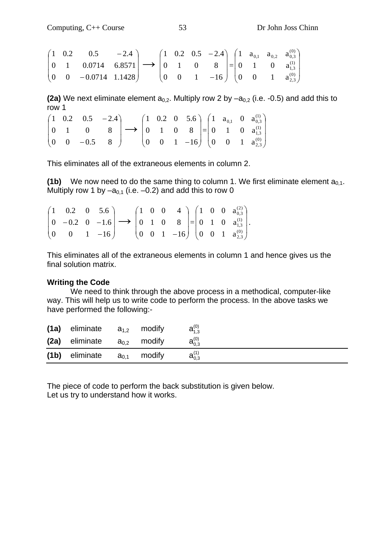$$
\begin{pmatrix} 1 & 0.2 & 0.5 & -2.4 \ 0 & 1 & 0.0714 & 6.8571 \ 0 & 0 & -0.0714 & 1.1428 \end{pmatrix} \longrightarrow \begin{pmatrix} 1 & 0.2 & 0.5 & -2.4 \ 0 & 1 & 0 & 8 \ 0 & 0 & 1 & -16 \end{pmatrix} = \begin{pmatrix} 1 & a_{0,1} & a_{0,2} & a_{0,3}^{(0)} \ 0 & 1 & 0 & a_{1,3}^{(1)} \ 0 & 0 & 1 & a_{2,3}^{(0)} \end{pmatrix}
$$

**(2a)** We next eliminate element  $a_{0,2}$ . Multiply row 2 by  $-a_{0,2}$  (i.e. -0.5) and add this to row 1

|  | $\begin{pmatrix} 1 & 0.2 & 0.5 & -2.4 \\ 0 & 1 & 0 & 8 \\ 0 & 0 & -0.5 & 8 \end{pmatrix} \longrightarrow \begin{pmatrix} 1 & 0.2 & 0 & 5.6 \\ 0 & 1 & 0 & 8 \\ 0 & 0 & 1 & -16 \end{pmatrix} = \begin{pmatrix} 1 & a_{0,1} & 0 & a_{0,3}^{(1)} \\ 0 & 1 & 0 & a_{1,3}^{(1)} \\ 0 & 0 & 1 & a_{2,3}^{(0)} \end{pmatrix}$ |  |  |  |  |  |
|--|-------------------------------------------------------------------------------------------------------------------------------------------------------------------------------------------------------------------------------------------------------------------------------------------------------------------------|--|--|--|--|--|

This eliminates all of the extraneous elements in column 2.

**(1b)** We now need to do the same thing to column 1. We first eliminate element  $a_{0,1}$ . Multiply row 1 by  $-a_{0,1}$  (i.e.  $-0.2$ ) and add this to row 0

|  |  |  |  | $\begin{pmatrix} 1 & 0.2 & 0 & 5.6 \\ 0 & -0.2 & 0 & -1.6 \\ 0 & 0 & 1 & -16 \end{pmatrix} \longrightarrow \begin{pmatrix} 1 & 0 & 0 & 4 \\ 0 & 1 & 0 & 8 \\ 0 & 0 & 1 & -16 \end{pmatrix} = \begin{pmatrix} 1 & 0 & 0 & a_{0,3}^{(2)} \\ 0 & 1 & 0 & a_{1,3}^{(1)} \\ 0 & 0 & 1 & a_{2,3}^{(0)} \end{pmatrix}.$ |  |  |
|--|--|--|--|------------------------------------------------------------------------------------------------------------------------------------------------------------------------------------------------------------------------------------------------------------------------------------------------------------------|--|--|

This eliminates all of the extraneous elements in column 1 and hence gives us the final solution matrix.

#### **Writing the Code**

 We need to think through the above process in a methodical, computer-like way. This will help us to write code to perform the process. In the above tasks we have performed the following:-

| (1a)              | eliminate | $a_{1,2}$ | modify | $a_{1.3}^{(0)}$ |
|-------------------|-----------|-----------|--------|-----------------|
| (2a)              | eliminate | $a_{0,2}$ | modify | $a_{0,3}^{(0)}$ |
| (1 <sub>b</sub> ) | eliminate | $a_{0.1}$ | modify | $a_{0,3}^{(1)}$ |

The piece of code to perform the back substitution is given below. Let us try to understand how it works.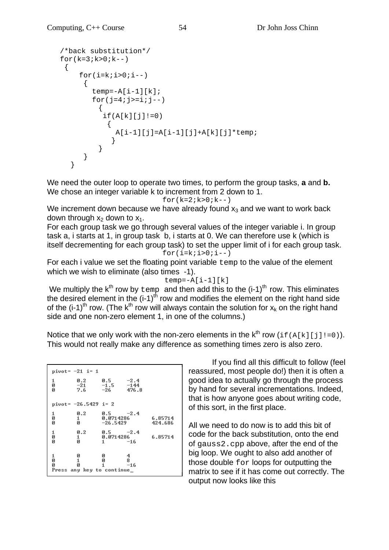```
 /*back substitution*/ 
  for(k=3; k>0; k--) { 
     for(i=k;i>0;i--)\{temp=-A[i-1][k];for(j=4; j>=i; j--)
\{if(A[k][j]:=0)\{A[i-1][j]=A[i-1][j]+A[k][j]*temp; } 
 } 
 } 
     }
```
We need the outer loop to operate two times, to perform the group tasks, **a** and **b.** We chose an integer variable k to increment from 2 down to 1.

 $for(k=2; k>0; k--)$ 

We increment down because we have already found  $x_3$  and we want to work back down through  $x_2$  down to  $x_1$ .

For each group task we go through several values of the integer variable i. In group task a, i starts at 1, in group task b, i starts at 0. We can therefore use k (which is itself decrementing for each group task) to set the upper limit of i for each group task. for( $i=k$ ; $i>0$ ; $i--$ )

For each i value we set the floating point variable temp to the value of the element which we wish to eliminate (also times -1).

```
temp=-A[i-1][k]
```
We multiply the  $k^{th}$  row by  $t_{\text{emp}}$  and then add this to the  $(i-1)^{th}$  row. This eliminates the desired element in the  $(i-1)$ <sup>th</sup> row and modifies the element on the right hand side of the  $(i-1)$ <sup>th</sup> row. (The k<sup>th</sup> row will always contain the solution for  $x_k$  on the right hand side and one non-zero element 1, in one of the columns.)

Notice that we only work with the non-zero elements in the  $k^{th}$  row (if(A[k][j]!=0)). This would not really make any difference as something times zero is also zero.

| pivot= -21 i= 1      |                                          |                                       |                 |                    |
|----------------------|------------------------------------------|---------------------------------------|-----------------|--------------------|
| 1<br>Ø<br>Й          | 0.2<br>$-21$<br>7.6                      | 0.5<br>$-1.5 -144$<br>$-26$           | $-2.4$<br>476.8 |                    |
| pivot= -26.5429 i= 2 |                                          |                                       |                 |                    |
| 1<br>Ø<br>Ø          | 0.2<br>1<br>И                            | $0.5 -2.4$<br>0.0714286<br>$-26.5429$ |                 | 6.85714<br>424.686 |
| 1<br>Ø<br>Ø          | 0.2<br>1<br>Й                            | $0.5 -2.4$<br>0.0714286<br>$1 - 16$   |                 | 6.85714            |
| 1<br>Ø<br>Ø          | ø<br>1<br>Й<br>Press any key to continue | ø<br>ø<br>1.                          | 4<br>8<br>$-16$ |                    |

If you find all this difficult to follow (feel reassured, most people do!) then it is often a good idea to actually go through the process by hand for several incrementations. Indeed, that is how anyone goes about writing code, of this sort, in the first place.

All we need to do now is to add this bit of code for the back substitution, onto the end of gauss2.cpp above, after the end of the big loop. We ought to also add another of those double for loops for outputting the matrix to see if it has come out correctly. The output now looks like this